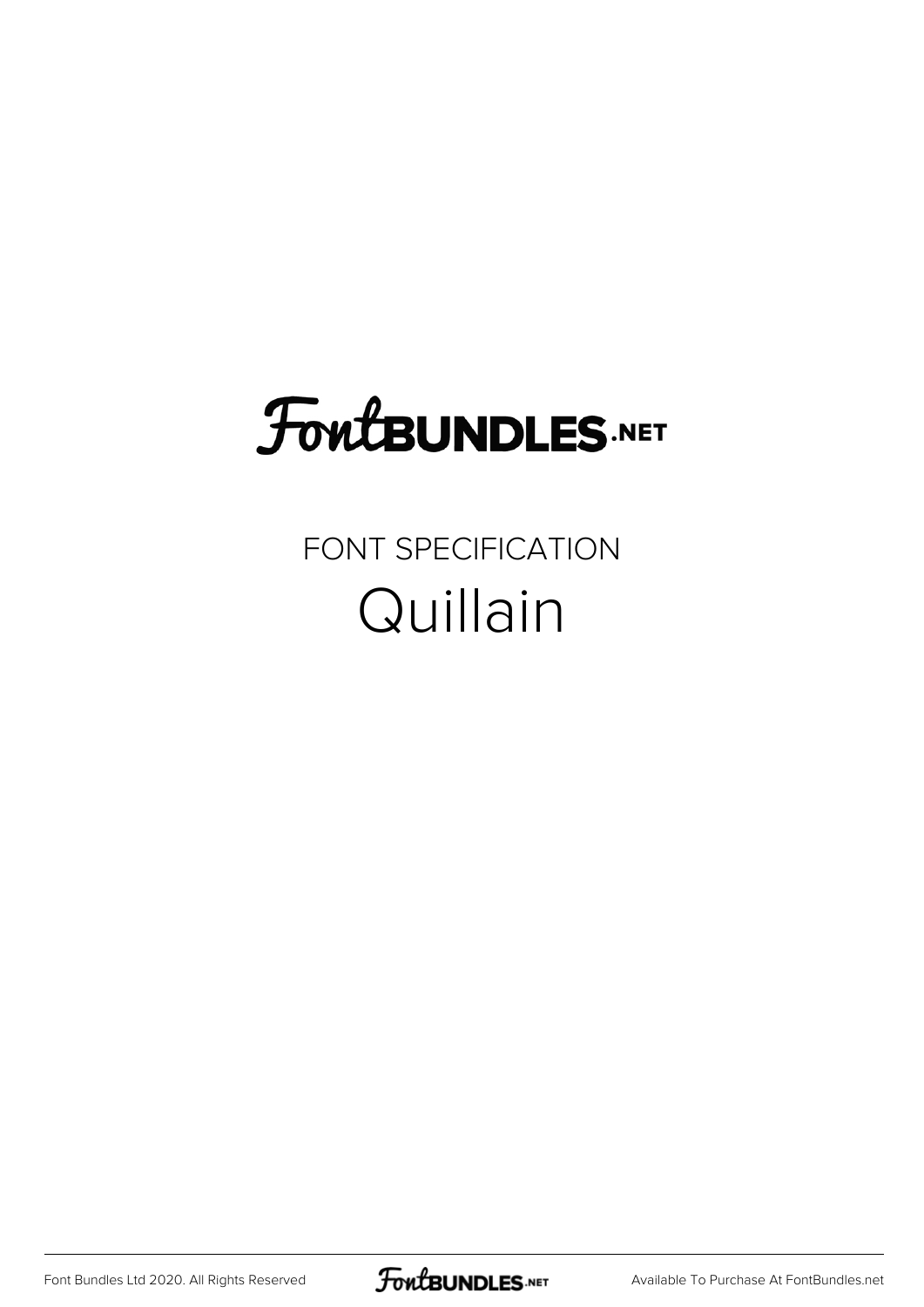# **FoutBUNDLES.NET**

### FONT SPECIFICATION Quillain

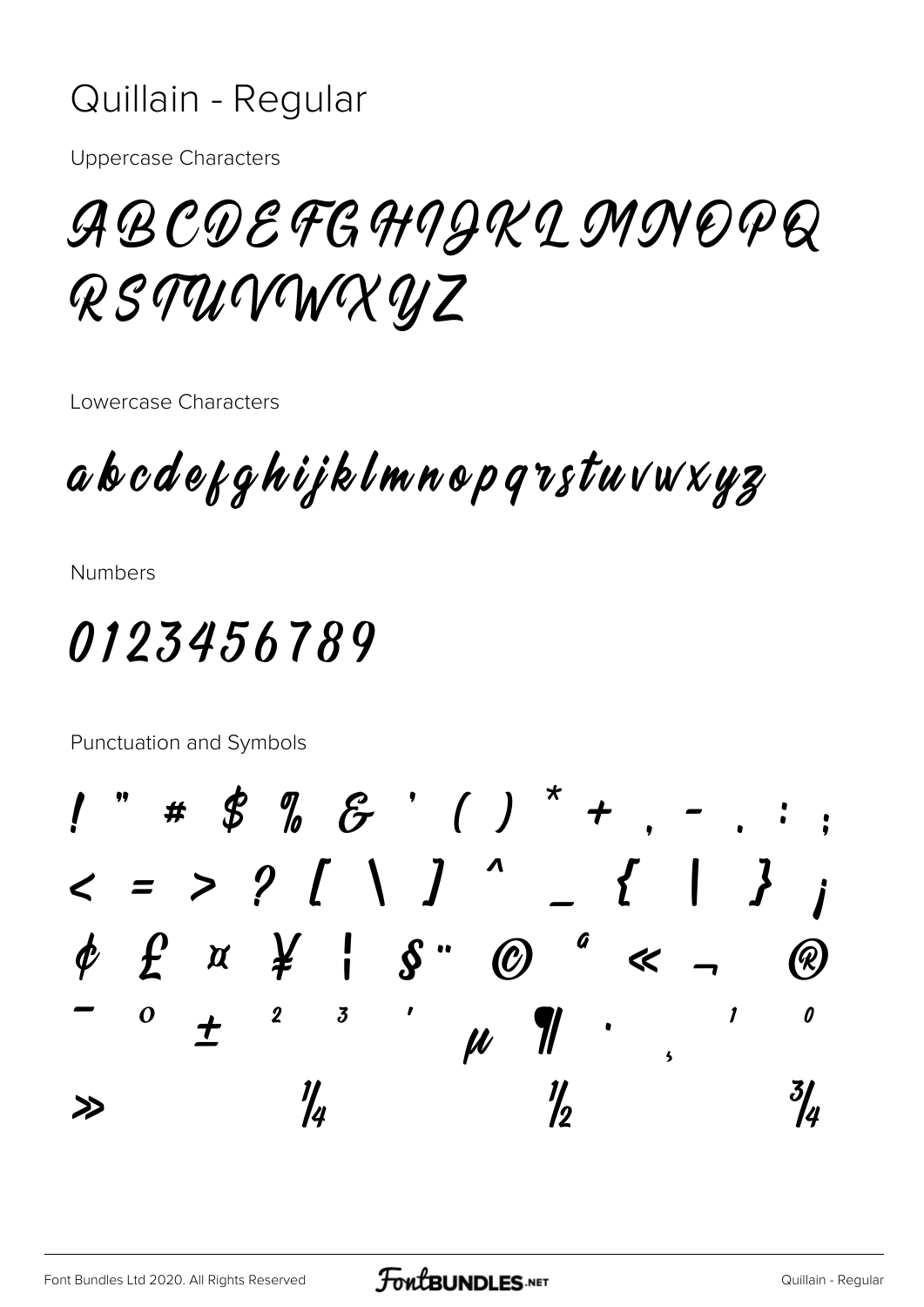#### Quillain - Regular

**Uppercase Characters** 

## ABCDEFGHIJKLMNOPQ RSTUVWXYZ

Lowercase Characters

a b c d e g q h i j k l m n o p q v s t u v w x y z

**Numbers** 

## 0123456789

Punctuation and Symbols

" #  $\oint$   $\int$   $\oint$   $\cdot$   $\left( \begin{array}{c} \end{array} \right)$   $\uparrow$   $+$  $\; < \; = \; > \; ? \; [ \;\; \; \; ] \;$  $\overline{\phantom{a}}$  $\left\{ \begin{array}{c} 1 \end{array} \right.$ a  $\phi$   $f$   $\alpha$   $\gamma$   $\gamma$  $\mathcal{S}$  "  $\boldsymbol{\varnothing}$  $\ll$  $\overline{\mathbf{3}}$  $\boldsymbol{o}$  $\boldsymbol{2}$  $\boldsymbol{\eta}$ 0  $\overline{\phantom{a}}$  $\mu$   $\mathcal{U}$  $\overline{\mathbf{5}}$  $\frac{\eta}{2}$ 1/<br>14  $\frac{3}{4}$  $\gg$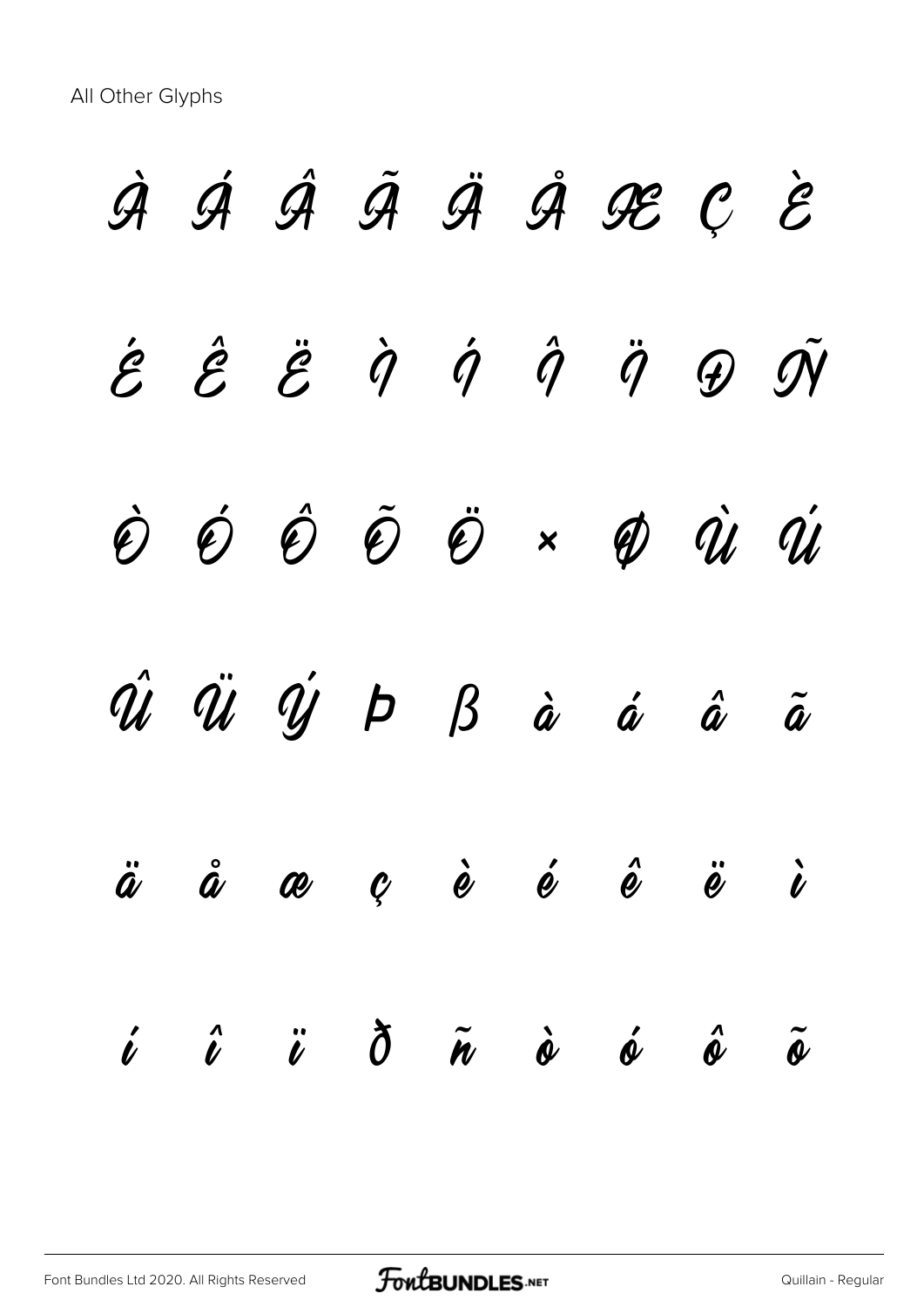All Other Glyphs

À Á Â Ã Ä Å Æ Ç È  $\acute{\mathcal{E}}$   $\acute{\mathcal{E}}$   $\ddot{\mathcal{G}}$   $\dot{\mathcal{Q}}$   $\dot{\mathcal{G}}$   $\dot{\mathcal{G}}$   $\ddot{\mathcal{G}}$   $\ddot{\mathcal{G}}$   $\ddot{\mathcal{G}}$   $\ddot{\mathcal{G}}$ Ò Ó Ô Õ Ö × Ø Ù Ú  $\hat{u}$   $\ddot{u}$   $\dot{y}$   $p$   $\beta$   $\dot{a}$   $\dot{a}$   $\ddot{a}$   $\ddot{a}$ ä å æ ç è é ê ë ì  $\begin{array}{cccccccccccccc} i & \hat{u} & \hat{v} & \hat{0} & \tilde{w} & \hat{\omega} & \hat{\omega} & \hat{\omega} & \hat{\omega} & \tilde{\omega} \end{array}$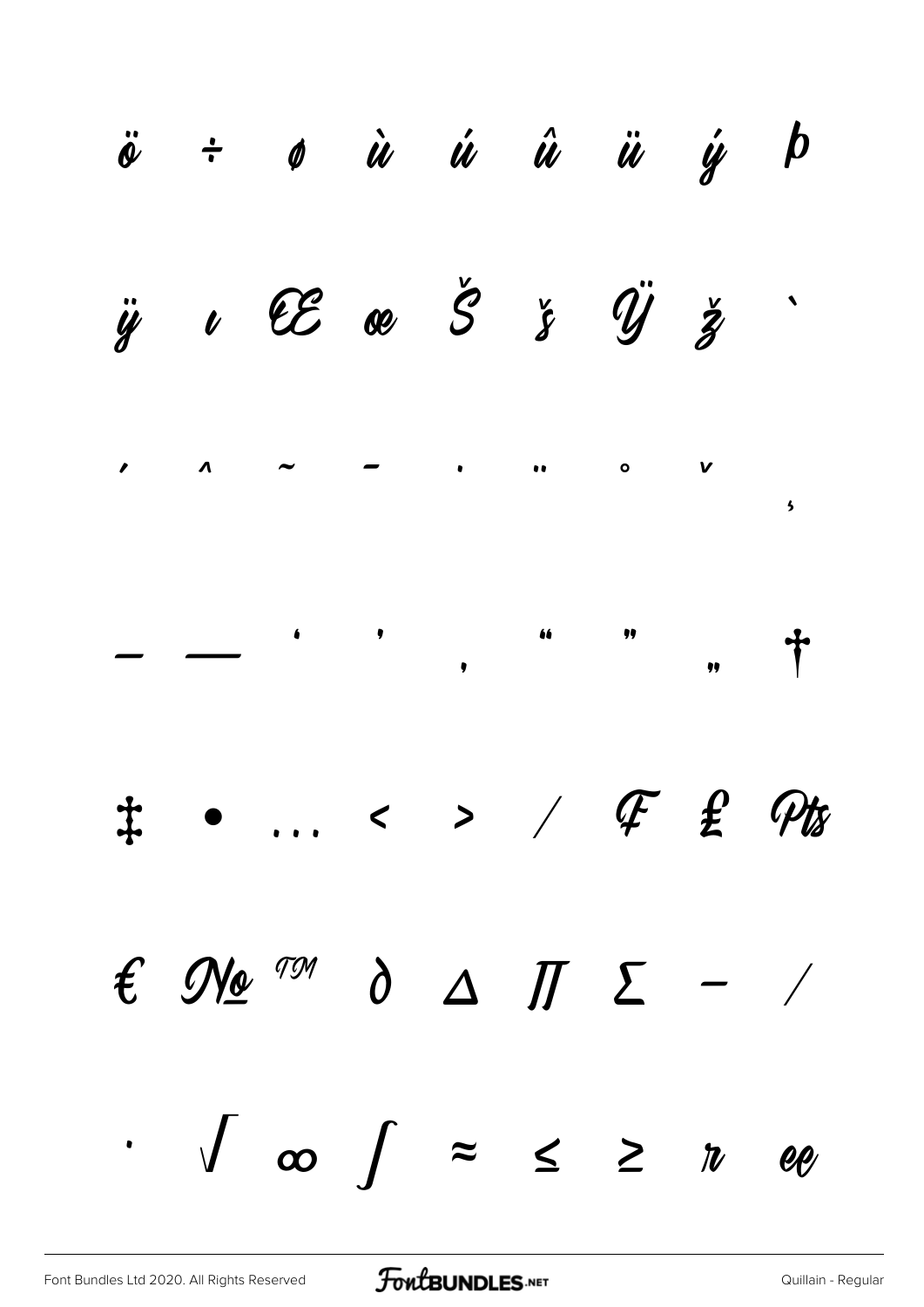|  | $\ddot{\theta}$ ÷ $\theta$ $\dot{u}$ $\dot{u}$ $\dot{u}$ $\ddot{u}$ $\dot{y}$ $b$                            |  |  |  |
|--|--------------------------------------------------------------------------------------------------------------|--|--|--|
|  | $\ddot{y}$ $\iota$ $\mathcal{CE}$ $\&$ $\circ$ $\circ$ $\circ$ $\ddot{y}$ $\ddot{y}$ $\ddot{z}$              |  |  |  |
|  |                                                                                                              |  |  |  |
|  |                                                                                                              |  |  |  |
|  | ‡ • … < > / <i>平 £ Pts</i>                                                                                   |  |  |  |
|  | $\epsilon$ No $\frac{791}{0}$ $\Delta$ $\pi$ $\epsilon$ - /                                                  |  |  |  |
|  | $\int_{-\infty}^{\infty} \int_{-\infty}^{\infty} \frac{1}{2} dx \leq \int_{-\infty}^{\infty} \frac{1}{2} dx$ |  |  |  |